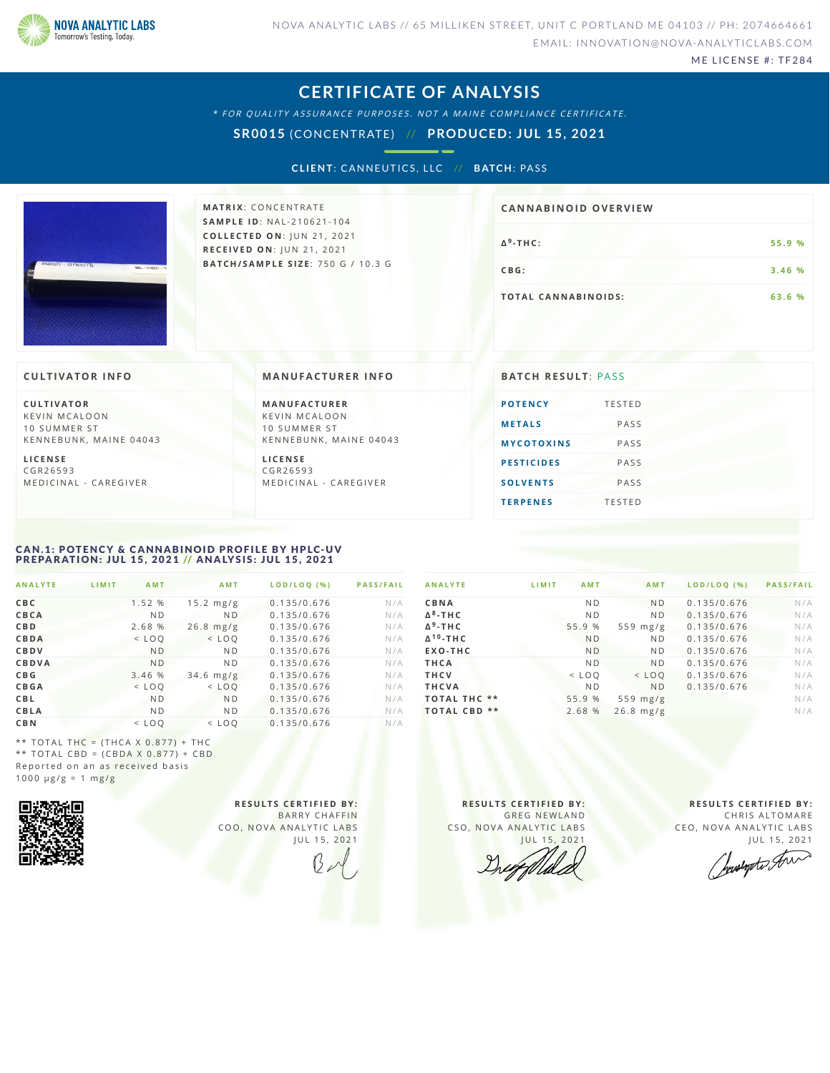

ME LICENSE #: TF284

### **CERTIFICATE OF ANALYSIS**

\* FOR QUALITY ASSURANCE PURPOSES. NOT A MAINE COMPLIANCE CERTIFICATE.

**SR0015** (CONCENTRATE) // **PRODUCED: JUL 15, 2021**

**CLIENT: CANNEUTICS, LLC // BATCH: PASS** 



**M AT R I X** :C O N C E N T R A T E **SA M P L E I D** :N A L - 2 1 0 6 2 1 - 1 0 4 **C O L L E C T E D O N** :J U N 2 1 , 2 0 2 1 **R E C E I V E D O N** : J U N 2 1 , 2 0 2 1 **BAT C H / SA M P L E S I Z E** : 7 5 0 G / 1 0 . 3 G

# **Δ - T H C :5 5 . 9 % 9 CBG:**  $3.46%$ **T O TAL CA N N ABI N O I D S : 6 3 . 6 % CA N N ABI N OID OVERVI EW**

### **CULTIVATOR I N FO**

**C U L T I VAT O R** K F V IN M CALOON 10 SUMMER ST KENNEBUNK, MAINE 04043

**L I C E N S E** C G R 2 6 5 9 3 M E D I C I N A L - CARE G I VER

**M A N U FAC T U R E R** K F V I N M C A L O O N 10 SUMMER ST KENNEBUNK, MAINE 04043

**L I C E N S E** C G R 2 6 5 9 3 M E D I C I N A L - CARE G I VER

### **MANUFACTURER INFO BATCH RESULT: PASS POTE[N](#page-0-0)CY** TESTED **ME[TAL](#page-1-0)S** PASS  $M$  **YCOTOXINS** PASS **PESTICI[D](#page-1-2)ES** PASS **S O L V E [N](#page-1-3) T S** P A S S **T E R P E [N](#page-1-4) E S** T E S T E D

### <span id="page-0-0"></span>CAN.1: POTENCY & CANNABINOID PROFILE BY HPLC-UV PREPARATION: JUL 15, 2021 // ANALYSIS: JUL 15, 2021

| <b>ANALYTE</b> | LIMIT | <b>AMT</b>     | <b>AMT</b>          | LOD/LOO (%) | <b>PASS/FAIL</b> |
|----------------|-------|----------------|---------------------|-------------|------------------|
| CBC            |       | 1.52 %         | $15.2 \text{ mg/g}$ | 0.135/0.676 | N/A              |
| CBCA           |       | N <sub>D</sub> | N <sub>D</sub>      | 0.135/0.676 | N/A              |
| <b>CBD</b>     |       | 2.68 %         | $26.8$ mg/g         | 0.135/0.676 | N/A              |
| CBDA           |       | $<$ LOO        | $<$ LOO             | 0.135/0.676 | N/A              |
| CBDV           |       | <b>ND</b>      | N <sub>D</sub>      | 0.135/0.676 | N/A              |
| <b>CBDVA</b>   |       | N <sub>D</sub> | N <sub>D</sub>      | 0.135/0.676 | N/A              |
| C B G          |       | 3.46 %         | $34.6$ mg/g         | 0.135/0.676 | N/A              |
| <b>CBGA</b>    |       | $<$ LOO        | $<$ LOO             | 0.135/0.676 | N/A              |
| <b>CBL</b>     |       | <b>ND</b>      | N <sub>D</sub>      | 0.135/0.676 | N/A              |
| CBLA           |       | N <sub>D</sub> | N <sub>D</sub>      | 0.135/0.676 | N/A              |
| <b>CBN</b>     |       | $<$ LOO        | $<$ LOO             | 0.135/0.676 | N/A              |

| <b>ANALYTE</b>              | LIMIT<br><b>AMT</b> | <b>AMT</b>     | LOD/LOQ (%) | <b>PASS/FAIL</b> |
|-----------------------------|---------------------|----------------|-------------|------------------|
| CBNA                        | N <sub>D</sub>      | <b>ND</b>      | 0.135/0.676 | N/A              |
| $\Delta^8$ -THC             | N <sub>D</sub>      | N <sub>D</sub> | 0.135/0.676 | N/A              |
| $\Delta$ <sup>9</sup> -THC  | 55.9 %              | 559 $mg/g$     | 0.135/0.676 | N/A              |
| $\Delta$ <sup>10</sup> -THC | <b>ND</b>           | N <sub>D</sub> | 0.135/0.676 | N/A              |
| EXO-THC                     | <b>ND</b>           | N <sub>D</sub> | 0.135/0.676 | N/A              |
| THCA                        | N <sub>D</sub>      | <b>ND</b>      | 0.135/0.676 | N/A              |
| <b>THCV</b>                 | $<$ LOO             | $<$ LOO        | 0.135/0.676 | N/A              |
| <b>THCVA</b>                | N <sub>D</sub>      | <b>ND</b>      | 0.135/0.676 | N/A              |
| <b>TOTAL THC **</b>         | 55.9 %              | 559 $mg/g$     |             | N/A              |
| <b>TOTAL CBD **</b>         | 2.68 %              | $26.8$ mg/g    |             | N/A              |

\*\* TOTAL THC =  $(THCA X 0.877) + THC$ \*\* TOTAL CBD =  $(CBDA X 0.877) + CBD$ Reported on an as received basis  $1000 \text{ }\mu\text{g/g} = 1 \text{ }\text{mg/g}$ 



**R E S U L T S C E R T I F I E D BY :** BARRY CHAFFIN COO, NOVA ANALYTIC LABS JUL 15, 2021

**R E S U L T S C E R T I F I E D BY :** GREG NEWLAND CSO, NOVA ANALYTIC LABS JUL 15, 2021

**R E S U L T S C E R T I F I E D BY :** CHRIS ALTOMARE CEO, NOVA ANALYTIC LABS

JUL 15, 2021